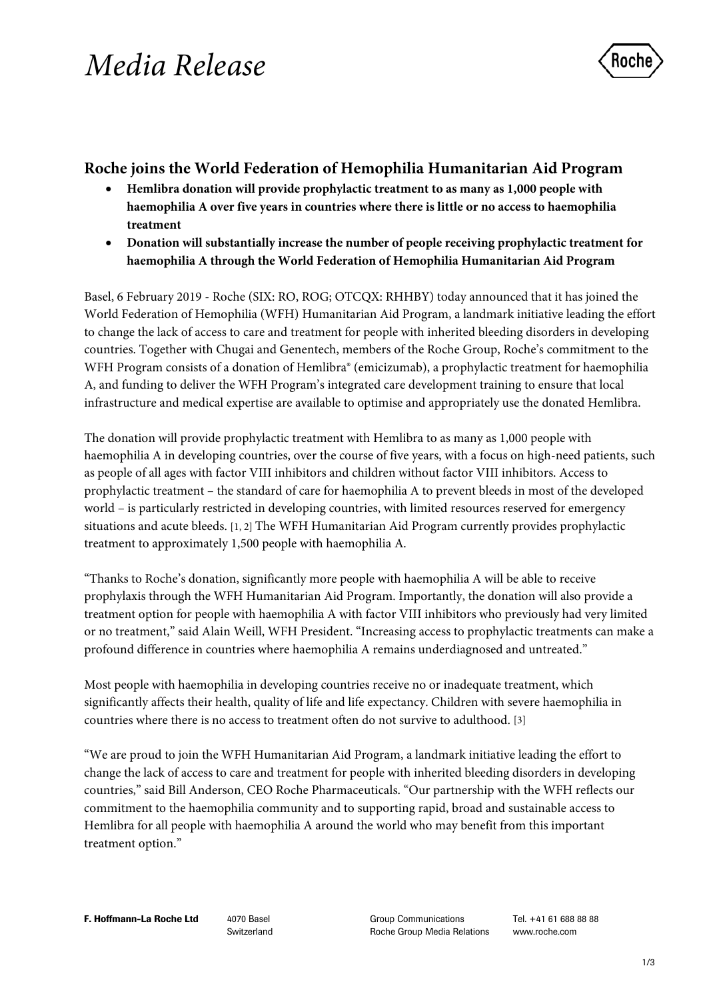# *Media Release*



# **Roche joins the World Federation of Hemophilia Humanitarian Aid Program**

- **Hemlibra donation will provide prophylactic treatment to as many as 1,000 people with haemophilia A over five years in countries where there is little or no access to haemophilia treatment**
- **Donation will substantially increase the number of people receiving prophylactic treatment for haemophilia A through the World Federation of Hemophilia Humanitarian Aid Program**

Basel, 6 February 2019 - Roche (SIX: RO, ROG; OTCQX: RHHBY) today announced that it has joined the World Federation of Hemophilia (WFH) Humanitarian Aid Program, a landmark initiative leading the effort to change the lack of access to care and treatment for people with inherited bleeding disorders in developing countries. Together with Chugai and Genentech, members of the Roche Group, Roche's commitment to the WFH Program consists of a donation of Hemlibra<sup>®</sup> (emicizumab), a prophylactic treatment for haemophilia A, and funding to deliver the WFH Program's integrated care development training to ensure that local infrastructure and medical expertise are available to optimise and appropriately use the donated Hemlibra.

The donation will provide prophylactic treatment with Hemlibra to as many as 1,000 people with haemophilia A in developing countries, over the course of five years, with a focus on high-need patients, such as people of all ages with factor VIII inhibitors and children without factor VIII inhibitors. Access to prophylactic treatment – the standard of care for haemophilia A to prevent bleeds in most of the developed world – is particularly restricted in developing countries, with limited resources reserved for emergency situations and acute bleeds. [1, 2] The WFH Humanitarian Aid Program currently provides prophylactic treatment to approximately 1,500 people with haemophilia A.

"Thanks to Roche's donation, significantly more people with haemophilia A will be able to receive prophylaxis through the WFH Humanitarian Aid Program. Importantly, the donation will also provide a treatment option for people with haemophilia A with factor VIII inhibitors who previously had very limited or no treatment," said Alain Weill, WFH President. "Increasing access to prophylactic treatments can make a profound difference in countries where haemophilia A remains underdiagnosed and untreated."

Most people with haemophilia in developing countries receive no or inadequate treatment, which significantly affects their health, quality of life and life expectancy. Children with severe haemophilia in countries where there is no access to treatment often do not survive to adulthood. [3]

"We are proud to join the WFH Humanitarian Aid Program, a landmark initiative leading the effort to change the lack of access to care and treatment for people with inherited bleeding disorders in developing countries," said Bill Anderson, CEO Roche Pharmaceuticals. "Our partnership with the WFH reflects our commitment to the haemophilia community and to supporting rapid, broad and sustainable access to Hemlibra for all people with haemophilia A around the world who may benefit from this important treatment option."

Switzerland

Group Communications Roche Group Media Relations Tel. +41 61 688 88 88 www.roche.com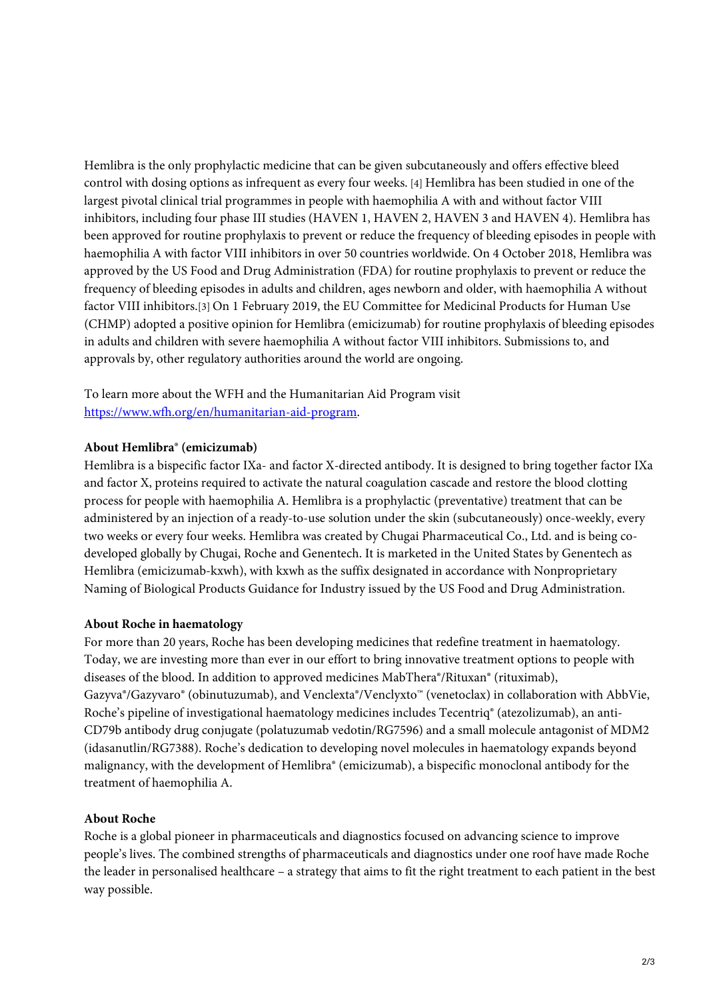Hemlibra is the only prophylactic medicine that can be given subcutaneously and offers effective bleed control with dosing options as infrequent as every four weeks. [4] Hemlibra has been studied in one of the largest pivotal clinical trial programmes in people with haemophilia A with and without factor VIII inhibitors, including four phase III studies (HAVEN 1, HAVEN 2, HAVEN 3 and HAVEN 4). Hemlibra has been approved for routine prophylaxis to prevent or reduce the frequency of bleeding episodes in people with haemophilia A with factor VIII inhibitors in over 50 countries worldwide. On 4 October 2018, Hemlibra was approved by the US Food and Drug Administration (FDA) for routine prophylaxis to prevent or reduce the frequency of bleeding episodes in adults and children, ages newborn and older, with haemophilia A without factor VIII inhibitors.[3] On 1 February 2019, the EU Committee for Medicinal Products for Human Use (CHMP) adopted a positive opinion for Hemlibra (emicizumab) for routine prophylaxis of bleeding episodes in adults and children with severe haemophilia A without factor VIII inhibitors. Submissions to, and approvals by, other regulatory authorities around the world are ongoing.

To learn more about the WFH and the Humanitarian Aid Program visit [https://www.wfh.org/en/humanitarian-aid-program.](https://www.wfh.org/en/humanitarian-aid-program)

### **About Hemlibra® (emicizumab)**

Hemlibra is a bispecific factor IXa- and factor X-directed antibody. It is designed to bring together factor IXa and factor X, proteins required to activate the natural coagulation cascade and restore the blood clotting process for people with haemophilia A. Hemlibra is a prophylactic (preventative) treatment that can be administered by an injection of a ready-to-use solution under the skin (subcutaneously) once-weekly, every two weeks or every four weeks. Hemlibra was created by Chugai Pharmaceutical Co., Ltd. and is being codeveloped globally by Chugai, Roche and Genentech. It is marketed in the United States by Genentech as Hemlibra (emicizumab-kxwh), with kxwh as the suffix designated in accordance with Nonproprietary Naming of Biological Products Guidance for Industry issued by the US Food and Drug Administration.

#### **About Roche in haematology**

For more than 20 years, Roche has been developing medicines that redefine treatment in haematology. Today, we are investing more than ever in our effort to bring innovative treatment options to people with diseases of the blood. In addition to approved medicines MabThera®/Rituxan® (rituximab), Gazyva®/Gazyvaro® (obinutuzumab), and Venclexta®/Venclyxto™ (venetoclax) in collaboration with AbbVie, Roche's pipeline of investigational haematology medicines includes Tecentriq® (atezolizumab), an anti-CD79b antibody drug conjugate (polatuzumab vedotin/RG7596) and a small molecule antagonist of MDM2 (idasanutlin/RG7388). Roche's dedication to developing novel molecules in haematology expands beyond malignancy, with the development of Hemlibra® (emicizumab), a bispecific monoclonal antibody for the treatment of haemophilia A.

## **About Roche**

Roche is a global pioneer in pharmaceuticals and diagnostics focused on advancing science to improve people's lives. The combined strengths of pharmaceuticals and diagnostics under one roof have made Roche the leader in personalised healthcare – a strategy that aims to fit the right treatment to each patient in the best way possible.